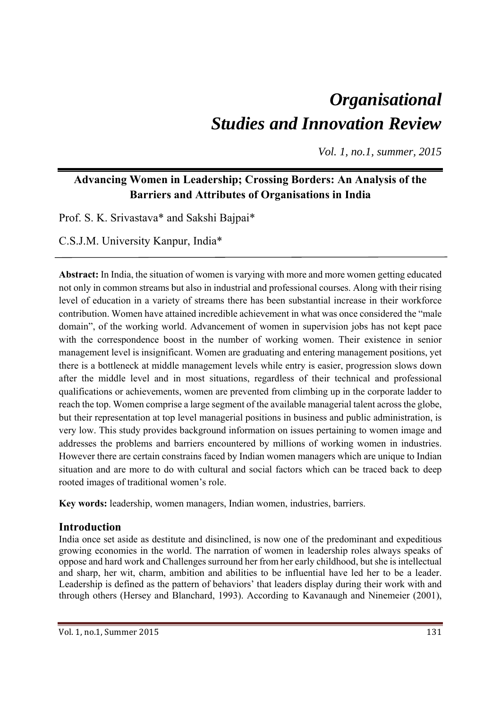# *Organisational Studies and Innovation Review*

*Vol. 1, no.1, summer, 2015* 

# **Advancing Women in Leadership; Crossing Borders: An Analysis of the Barriers and Attributes of Organisations in India**

Prof. S. K. Srivastava\* and Sakshi Bajpai\*

C.S.J.M. University Kanpur, India\*

**Abstract:** In India, the situation of women is varying with more and more women getting educated not only in common streams but also in industrial and professional courses. Along with their rising level of education in a variety of streams there has been substantial increase in their workforce contribution. Women have attained incredible achievement in what was once considered the "male domain", of the working world. Advancement of women in supervision jobs has not kept pace with the correspondence boost in the number of working women. Their existence in senior management level is insignificant. Women are graduating and entering management positions, yet there is a bottleneck at middle management levels while entry is easier, progression slows down after the middle level and in most situations, regardless of their technical and professional qualifications or achievements, women are prevented from climbing up in the corporate ladder to reach the top. Women comprise a large segment of the available managerial talent across the globe, but their representation at top level managerial positions in business and public administration, is very low. This study provides background information on issues pertaining to women image and addresses the problems and barriers encountered by millions of working women in industries. However there are certain constrains faced by Indian women managers which are unique to Indian situation and are more to do with cultural and social factors which can be traced back to deep rooted images of traditional women's role.

**Key words:** leadership, women managers, Indian women, industries, barriers.

## **Introduction**

India once set aside as destitute and disinclined, is now one of the predominant and expeditious growing economies in the world. The narration of women in leadership roles always speaks of oppose and hard work and Challenges surround her from her early childhood, but she is intellectual and sharp, her wit, charm, ambition and abilities to be influential have led her to be a leader. Leadership is defined as the pattern of behaviors' that leaders display during their work with and through others (Hersey and Blanchard, 1993). According to Kavanaugh and Ninemeier (2001),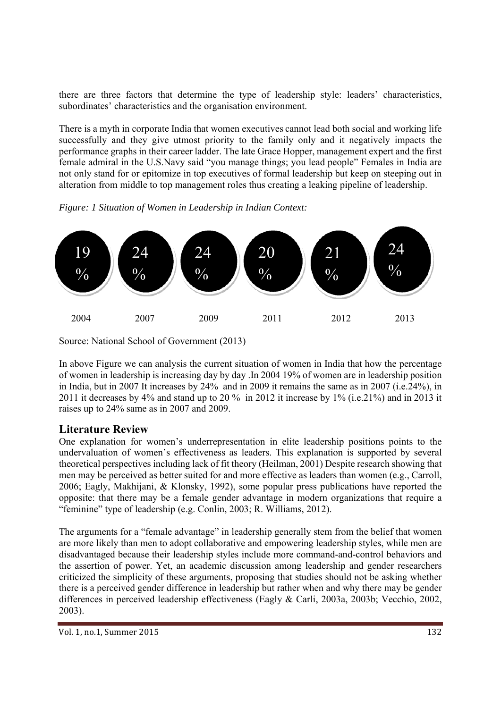there are three factors that determine the type of leadership style: leaders' characteristics, subordinates' characteristics and the organisation environment.

There is a myth in corporate India that women executives cannot lead both social and working life successfully and they give utmost priority to the family only and it negatively impacts the performance graphs in their career ladder. The late Grace Hopper, management expert and the first female admiral in the U.S.Navy said "you manage things; you lead people" Females in India are not only stand for or epitomize in top executives of formal leadership but keep on steeping out in alteration from middle to top management roles thus creating a leaking pipeline of leadership.

*Figure: 1 Situation of Women in Leadership in Indian Context:* 



Source: National School of Government (2013)

In above Figure we can analysis the current situation of women in India that how the percentage of women in leadership is increasing day by day .In 2004 19% of women are in leadership position in India, but in 2007 It increases by 24% and in 2009 it remains the same as in 2007 (i.e.24%), in 2011 it decreases by 4% and stand up to 20 % in 2012 it increase by 1% (i.e.21%) and in 2013 it raises up to 24% same as in 2007 and 2009.

## **Literature Review**

One explanation for women's underrepresentation in elite leadership positions points to the undervaluation of women's effectiveness as leaders. This explanation is supported by several theoretical perspectives including lack of fit theory (Heilman, 2001) Despite research showing that men may be perceived as better suited for and more effective as leaders than women (e.g., Carroll, 2006; Eagly, Makhijani, & Klonsky, 1992), some popular press publications have reported the opposite: that there may be a female gender advantage in modern organizations that require a "feminine" type of leadership (e.g. Conlin, 2003; R. Williams, 2012).

The arguments for a "female advantage" in leadership generally stem from the belief that women are more likely than men to adopt collaborative and empowering leadership styles, while men are disadvantaged because their leadership styles include more command-and-control behaviors and the assertion of power. Yet, an academic discussion among leadership and gender researchers criticized the simplicity of these arguments, proposing that studies should not be asking whether there is a perceived gender difference in leadership but rather when and why there may be gender differences in perceived leadership effectiveness (Eagly & Carli, 2003a, 2003b; Vecchio, 2002, 2003).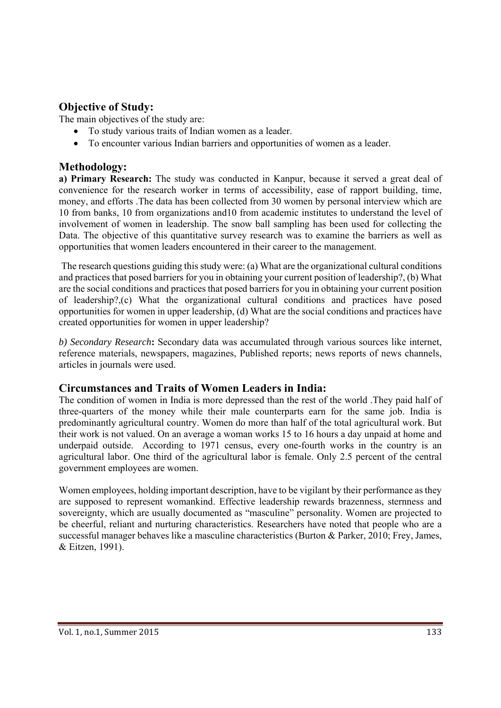## **Objective of Study:**

The main objectives of the study are:

- To study various traits of Indian women as a leader.
- To encounter various Indian barriers and opportunities of women as a leader.

## **Methodology:**

**a) Primary Research:** The study was conducted in Kanpur, because it served a great deal of convenience for the research worker in terms of accessibility, ease of rapport building, time, money, and efforts .The data has been collected from 30 women by personal interview which are 10 from banks, 10 from organizations and10 from academic institutes to understand the level of involvement of women in leadership. The snow ball sampling has been used for collecting the Data. The objective of this quantitative survey research was to examine the barriers as well as opportunities that women leaders encountered in their career to the management.

 The research questions guiding this study were: (a) What are the organizational cultural conditions and practices that posed barriers for you in obtaining your current position of leadership?, (b) What are the social conditions and practices that posed barriers for you in obtaining your current position of leadership?,(c) What the organizational cultural conditions and practices have posed opportunities for women in upper leadership, (d) What are the social conditions and practices have created opportunities for women in upper leadership?

*b) Secondary Research***:** Secondary data was accumulated through various sources like internet, reference materials, newspapers, magazines, Published reports; news reports of news channels, articles in journals were used.

## **Circumstances and Traits of Women Leaders in India:**

The condition of women in India is more depressed than the rest of the world .They paid half of three-quarters of the money while their male counterparts earn for the same job. India is predominantly agricultural country. Women do more than half of the total agricultural work. But their work is not valued. On an average a woman works 15 to 16 hours a day unpaid at home and underpaid outside. According to 1971 census, every one-fourth works in the country is an agricultural labor. One third of the agricultural labor is female. Only 2.5 percent of the central government employees are women.

Women employees, holding important description, have to be vigilant by their performance as they are supposed to represent womankind. Effective leadership rewards brazenness, sternness and sovereignty, which are usually documented as "masculine" personality. Women are projected to be cheerful, reliant and nurturing characteristics. Researchers have noted that people who are a successful manager behaves like a masculine characteristics (Burton & Parker, 2010; Frey, James, & Eitzen, 1991).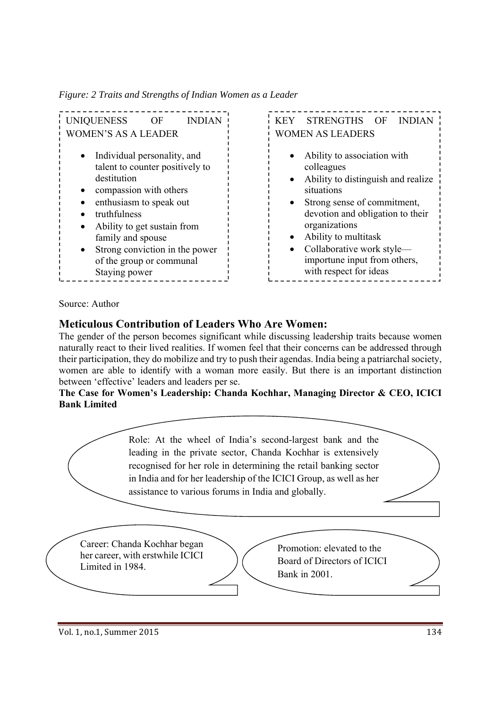*Figure: 2 Traits and Strengths of Indian Women as a Leader* 

| <b>UNIQUENESS</b><br>OF<br><b>INDIAN</b> | <b>STR</b><br><b>KEY</b> |
|------------------------------------------|--------------------------|
| <b>WOMEN'S AS A LEADER</b>               | <b>WOMEN A</b>           |
| Individual personality, and              | Abili                    |
| talent to counter positively to          | colle                    |
| destitution                              | Abili                    |
| compassion with others                   | situa                    |
| enthusiasm to speak out                  | Stron                    |
| truthfulness                             | devo                     |
| Ability to get sustain from              | orga                     |
| family and spouse                        | Abili                    |
| Strong conviction in the power           | Colla                    |
| of the group or communal                 | 1 <sub>mpc</sub>         |
| Staying power                            | with                     |

ENGTHS OF INDIAN **S LEADERS** 

- ity to association with agues
- ity to distinguish and realize tions
- ng sense of commitment, tion and obligation to their nizations
- ity to multitask
- aborative work style ortune input from others, respect for ideas

#### Source: Author

## **Meticulous Contribution of Leaders Who Are Women:**

The gender of the person becomes significant while discussing leadership traits because women naturally react to their lived realities. If women feel that their concerns can be addressed through their participation, they do mobilize and try to push their agendas. India being a patriarchal society, women are able to identify with a woman more easily. But there is an important distinction between 'effective' leaders and leaders per se.

#### **The Case for Women's Leadership: Chanda Kochhar, Managing Director & CEO, ICICI Bank Limited**

Role: At the wheel of India's second-largest bank and the leading in the private sector, Chanda Kochhar is extensively recognised for her role in determining the retail banking sector in India and for her leadership of the ICICI Group, as well as her assistance to various forums in India and globally.

Career: Chanda Kochhar began her career, with erstwhile ICICI Limited in 1984.

Promotion: elevated to the Board of Directors of ICICI Bank in 2001.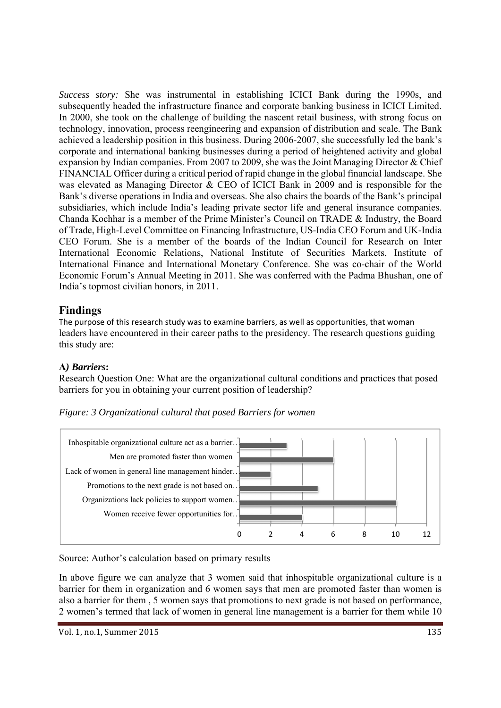*Success story:* She was instrumental in establishing ICICI Bank during the 1990s, and subsequently headed the infrastructure finance and corporate banking business in ICICI Limited. In 2000, she took on the challenge of building the nascent retail business, with strong focus on technology, innovation, process reengineering and expansion of distribution and scale. The Bank achieved a leadership position in this business. During 2006-2007, she successfully led the bank's corporate and international banking businesses during a period of heightened activity and global expansion by Indian companies. From 2007 to 2009, she was the Joint Managing Director & Chief FINANCIAL Officer during a critical period of rapid change in the global financial landscape. She was elevated as Managing Director & CEO of ICICI Bank in 2009 and is responsible for the Bank's diverse operations in India and overseas. She also chairs the boards of the Bank's principal subsidiaries, which include India's leading private sector life and general insurance companies. Chanda Kochhar is a member of the Prime Minister's Council on TRADE & Industry, the Board of Trade, High-Level Committee on Financing Infrastructure, US-India CEO Forum and UK-India CEO Forum. She is a member of the boards of the Indian Council for Research on Inter International Economic Relations, National Institute of Securities Markets, Institute of International Finance and International Monetary Conference. She was co-chair of the World Economic Forum's Annual Meeting in 2011. She was conferred with the Padma Bhushan, one of India's topmost civilian honors, in 2011.

## **Findings**

The purpose of this research study was to examine barriers, as well as opportunities, that woman leaders have encountered in their career paths to the presidency. The research questions guiding this study are:

## **A***) Barriers***:**

Research Question One: What are the organizational cultural conditions and practices that posed barriers for you in obtaining your current position of leadership?

*Figure: 3 Organizational cultural that posed Barriers for women* 



Source: Author's calculation based on primary results

In above figure we can analyze that 3 women said that inhospitable organizational culture is a barrier for them in organization and 6 women says that men are promoted faster than women is also a barrier for them , 5 women says that promotions to next grade is not based on performance, 2 women's termed that lack of women in general line management is a barrier for them while 10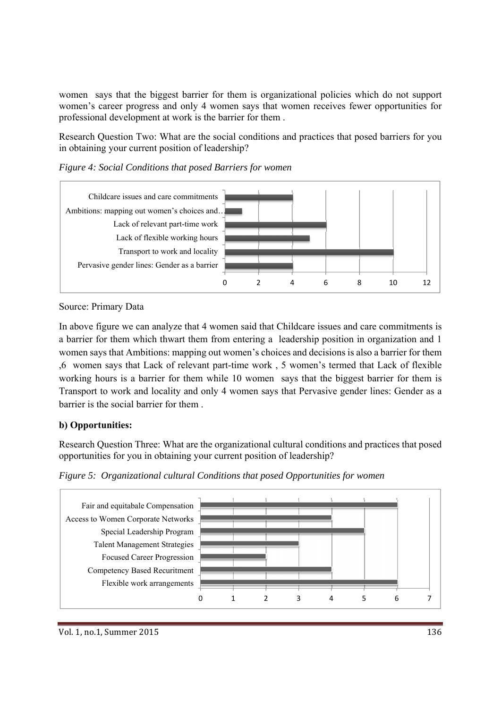women says that the biggest barrier for them is organizational policies which do not support women's career progress and only 4 women says that women receives fewer opportunities for professional development at work is the barrier for them .

Research Question Two: What are the social conditions and practices that posed barriers for you in obtaining your current position of leadership?



*Figure 4: Social Conditions that posed Barriers for women* 

Source: Primary Data

In above figure we can analyze that 4 women said that Childcare issues and care commitments is a barrier for them which thwart them from entering a leadership position in organization and 1 women says that Ambitions: mapping out women's choices and decisions is also a barrier for them ,6 women says that Lack of relevant part-time work , 5 women's termed that Lack of flexible working hours is a barrier for them while 10 women says that the biggest barrier for them is Transport to work and locality and only 4 women says that Pervasive gender lines: Gender as a barrier is the social barrier for them .

#### **b) Opportunities:**

Research Question Three: What are the organizational cultural conditions and practices that posed opportunities for you in obtaining your current position of leadership?

*Figure 5: Organizational cultural Conditions that posed Opportunities for women* 

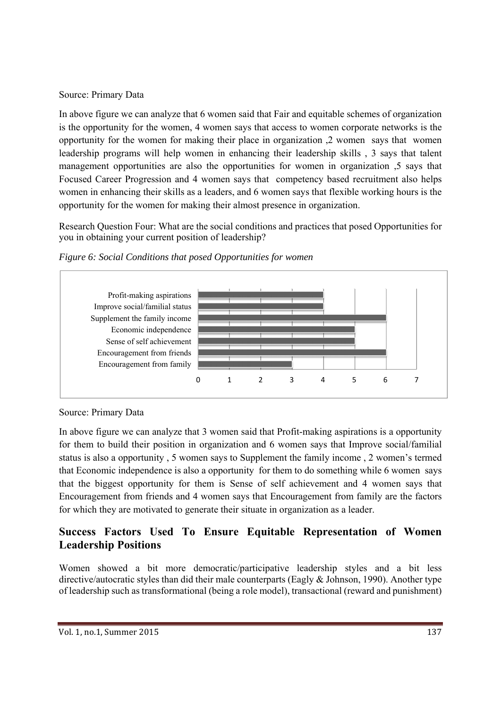#### Source: Primary Data

In above figure we can analyze that 6 women said that Fair and equitable schemes of organization is the opportunity for the women, 4 women says that access to women corporate networks is the opportunity for the women for making their place in organization ,2 women says that women leadership programs will help women in enhancing their leadership skills , 3 says that talent management opportunities are also the opportunities for women in organization ,5 says that Focused Career Progression and 4 women says that competency based recruitment also helps women in enhancing their skills as a leaders, and 6 women says that flexible working hours is the opportunity for the women for making their almost presence in organization.

Research Question Four: What are the social conditions and practices that posed Opportunities for you in obtaining your current position of leadership?



*Figure 6: Social Conditions that posed Opportunities for women* 

Source: Primary Data

In above figure we can analyze that 3 women said that Profit-making aspirations is a opportunity for them to build their position in organization and 6 women says that Improve social/familial status is also a opportunity , 5 women says to Supplement the family income , 2 women's termed that Economic independence is also a opportunity for them to do something while 6 women says that the biggest opportunity for them is Sense of self achievement and 4 women says that Encouragement from friends and 4 women says that Encouragement from family are the factors for which they are motivated to generate their situate in organization as a leader.

# **Success Factors Used To Ensure Equitable Representation of Women Leadership Positions**

Women showed a bit more democratic/participative leadership styles and a bit less directive/autocratic styles than did their male counterparts (Eagly & Johnson, 1990). Another type of leadership such as transformational (being a role model), transactional (reward and punishment)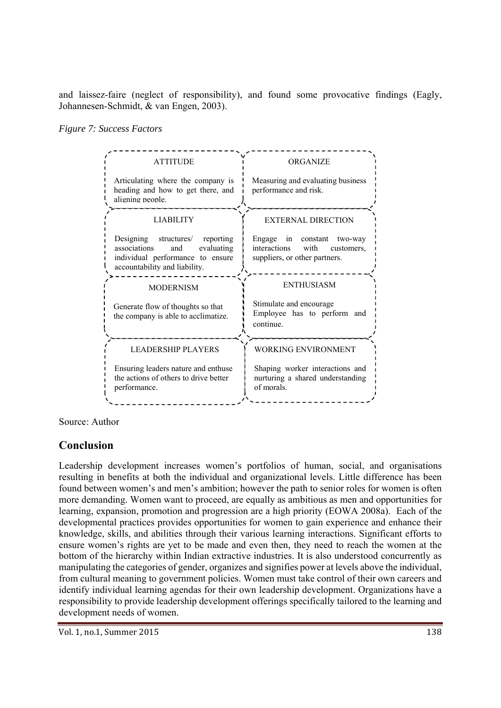and laissez-faire (neglect of responsibility), and found some provocative findings (Eagly, Johannesen-Schmidt, & van Engen, 2003).

#### *Figure 7: Success Factors*



Source: Author

## **Conclusion**

Leadership development increases women's portfolios of human, social, and organisations resulting in benefits at both the individual and organizational levels. Little difference has been found between women's and men's ambition; however the path to senior roles for women is often more demanding. Women want to proceed, are equally as ambitious as men and opportunities for learning, expansion, promotion and progression are a high priority (EOWA 2008a). Each of the developmental practices provides opportunities for women to gain experience and enhance their knowledge, skills, and abilities through their various learning interactions. Significant efforts to ensure women's rights are yet to be made and even then, they need to reach the women at the bottom of the hierarchy within Indian extractive industries. It is also understood concurrently as manipulating the categories of gender, organizes and signifies power at levels above the individual, from cultural meaning to government policies. Women must take control of their own careers and identify individual learning agendas for their own leadership development. Organizations have a responsibility to provide leadership development offerings specifically tailored to the learning and development needs of women.